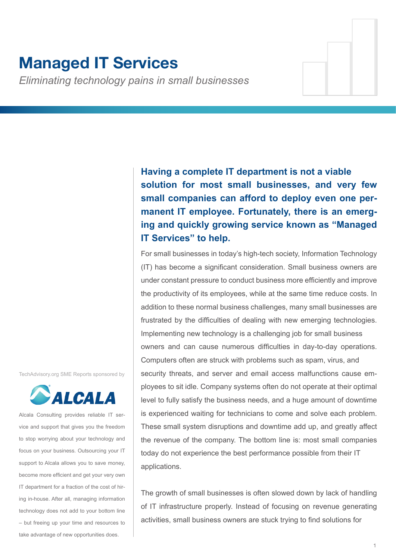# **Managed IT Services**

*Eliminating technology pains in small businesses*

**Having a complete IT department is not a viable solution for most small businesses, and very few small companies can afford to deploy even one permanent IT employee. Fortunately, there is an emerging and quickly growing service known as "Managed IT Services" to help.**

For small businesses in today's high-tech society, Information Technology (IT) has become a significant consideration. Small business owners are under constant pressure to conduct business more efficiently and improve the productivity of its employees, while at the same time reduce costs. In addition to these normal business challenges, many small businesses are frustrated by the difficulties of dealing with new emerging technologies. Implementing new technology is a challenging job for small business owners and can cause numerous difficulties in day-to-day operations. Computers often are struck with problems such as spam, virus, and security threats, and server and email access malfunctions cause employees to sit idle. Company systems often do not operate at their optimal level to fully satisfy the business needs, and a huge amount of downtime is experienced waiting for technicians to come and solve each problem. These small system disruptions and downtime add up, and greatly affect the revenue of the company. The bottom line is: most small companies today do not experience the best performance possible from their IT applications.

The growth of small businesses is often slowed down by lack of handling of IT infrastructure properly. Instead of focusing on revenue generating activities, small business owners are stuck trying to find solutions for

TechAdvisory.org SME Reports sponsored by



Alcala Consulting provides reliable IT service and support that gives you the freedom to stop worrying about your technology and focus on your business. Outsourcing your IT support to Alcala allows you to save money, become more efficient and get your very own IT department for a fraction of the cost of hiring in-house. After all, managing information technology does not add to your bottom line – but freeing up your time and resources to take advantage of new opportunities does.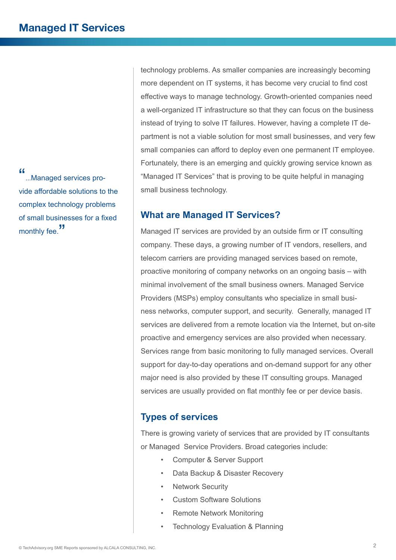"...Managed services provide affordable solutions to the complex technology problems of small businesses for a fixed monthly fee."

technology problems. As smaller companies are increasingly becoming more dependent on IT systems, it has become very crucial to find cost effective ways to manage technology. Growth-oriented companies need a well-organized IT infrastructure so that they can focus on the business instead of trying to solve IT failures. However, having a complete IT department is not a viable solution for most small businesses, and very few small companies can afford to deploy even one permanent IT employee. Fortunately, there is an emerging and quickly growing service known as "Managed IT Services" that is proving to be quite helpful in managing small business technology.

## **What are Managed IT Services?**

Managed IT services are provided by an outside firm or IT consulting company. These days, a growing number of IT vendors, resellers, and telecom carriers are providing managed services based on remote, proactive monitoring of company networks on an ongoing basis – with minimal involvement of the small business owners. Managed Service Providers (MSPs) employ consultants who specialize in small business networks, computer support, and security. Generally, managed IT services are delivered from a remote location via the Internet, but on-site proactive and emergency services are also provided when necessary. Services range from basic monitoring to fully managed services. Overall support for day-to-day operations and on-demand support for any other major need is also provided by these IT consulting groups. Managed services are usually provided on flat monthly fee or per device basis.

# **Types of services**

There is growing variety of services that are provided by IT consultants or Managed Service Providers. Broad categories include:

- Computer & Server Support
- Data Backup & Disaster Recovery
- **Network Security**
- Custom Software Solutions
- Remote Network Monitoring
- Technology Evaluation & Planning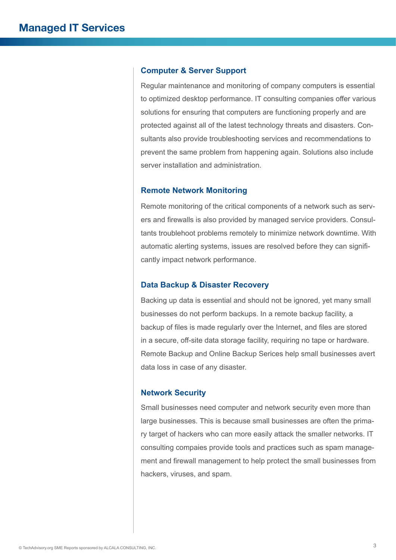#### **Computer & Server Support**

Regular maintenance and monitoring of company computers is essential to optimized desktop performance. IT consulting companies offer various solutions for ensuring that computers are functioning properly and are protected against all of the latest technology threats and disasters. Consultants also provide troubleshooting services and recommendations to prevent the same problem from happening again. Solutions also include server installation and administration.

#### **Remote Network Monitoring**

Remote monitoring of the critical components of a network such as servers and firewalls is also provided by managed service providers. Consultants troublehoot problems remotely to minimize network downtime. With automatic alerting systems, issues are resolved before they can significantly impact network performance.

#### **Data Backup & Disaster Recovery**

Backing up data is essential and should not be ignored, yet many small businesses do not perform backups. In a remote backup facility, a backup of files is made regularly over the Internet, and files are stored in a secure, off-site data storage facility, requiring no tape or hardware. Remote Backup and Online Backup Serices help small businesses avert data loss in case of any disaster.

#### **Network Security**

Small businesses need computer and network security even more than large businesses. This is because small businesses are often the primary target of hackers who can more easily attack the smaller networks. IT consulting compaies provide tools and practices such as spam management and firewall management to help protect the small businesses from hackers, viruses, and spam.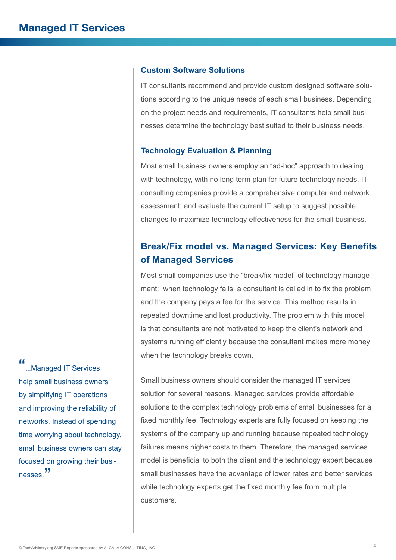### **Custom Software Solutions**

IT consultants recommend and provide custom designed software solutions according to the unique needs of each small business. Depending on the project needs and requirements, IT consultants help small businesses determine the technology best suited to their business needs.

#### **Technology Evaluation & Planning**

Most small business owners employ an "ad-hoc" approach to dealing with technology, with no long term plan for future technology needs. IT consulting companies provide a comprehensive computer and network assessment, and evaluate the current IT setup to suggest possible changes to maximize technology effectiveness for the small business.

# **Break/Fix model vs. Managed Services: Key Benefits of Managed Services**

Most small companies use the "break/fix model" of technology management: when technology fails, a consultant is called in to fix the problem and the company pays a fee for the service. This method results in repeated downtime and lost productivity. The problem with this model is that consultants are not motivated to keep the client's network and systems running efficiently because the consultant makes more money when the technology breaks down.

Small business owners should consider the managed IT services solution for several reasons. Managed services provide affordable solutions to the complex technology problems of small businesses for a fixed monthly fee. Technology experts are fully focused on keeping the systems of the company up and running because repeated technology failures means higher costs to them. Therefore, the managed services model is beneficial to both the client and the technology expert because small businesses have the advantage of lower rates and better services while technology experts get the fixed monthly fee from multiple customers.

"...Managed IT Services help small business owners by simplifying IT operations and improving the reliability of networks. Instead of spending time worrying about technology, small business owners can stay focused on growing their businesses.<sup>"</sup>